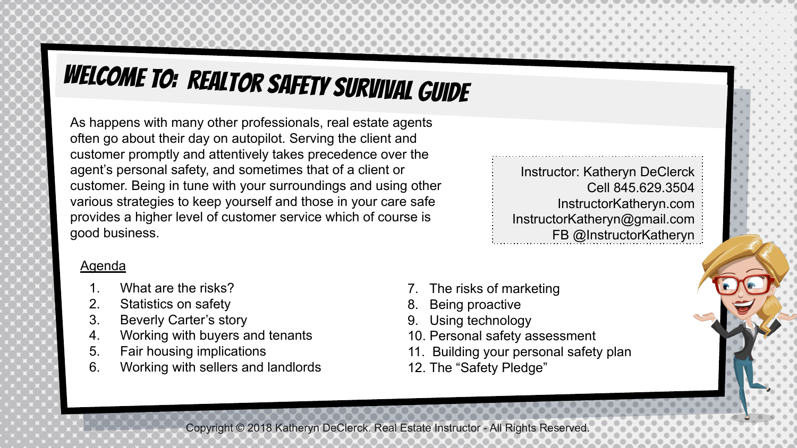## WELCOME TO: Realtor Safety Survival Guide

As happens with many other professionals, real estate agents often go about their day on autopilot. Serving the client and customer promptly and attentively takes precedence over the agent's personal safety, and sometimes that of a client or customer. Being in tune with your surroundings and using other various strategies to keep yourself and those in your care safe provides a higher level of customer service which of course is good business.

**Agenda** 

- 1. What are the risks?
- 2. Statistics on safety<br>3. Beverly Carter's sto
- Beverly Carter's story
- 4. Working with buyers and tenants<br>5. Fair housing implications
- 5. Fair housing implications<br>6. Working with sellers and I
- 6. Working with sellers and landlords

Instructor: Katheryn DeClerck Cell 845.629.3504 InstructorKatheryn.com InstructorKatheryn@gmail.com FB @InstructorKatheryn

1

- The risks of marketing
- Being proactive
- 9. Using technology
- 10. Personal safety assessment
- 11. Building your personal safety plan
- 12. The "Safety Pledge"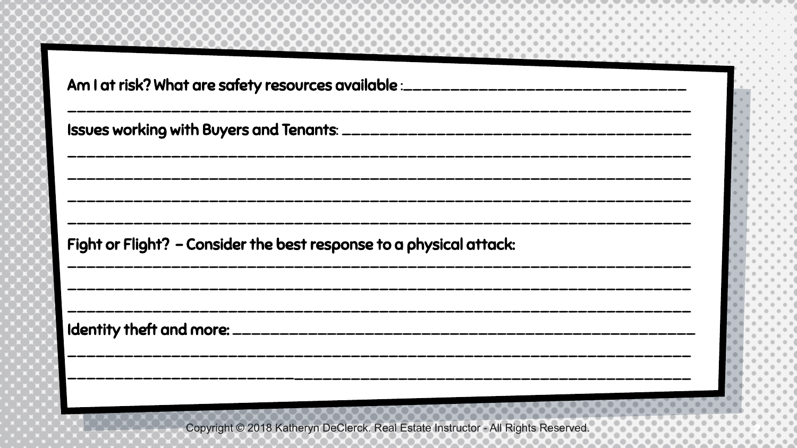| Am I at risk? What are safety resources available :_____________________________ |
|----------------------------------------------------------------------------------|
|                                                                                  |
|                                                                                  |
| Fight or Flight? - Consider the best response to a physical attack:              |
|                                                                                  |
|                                                                                  |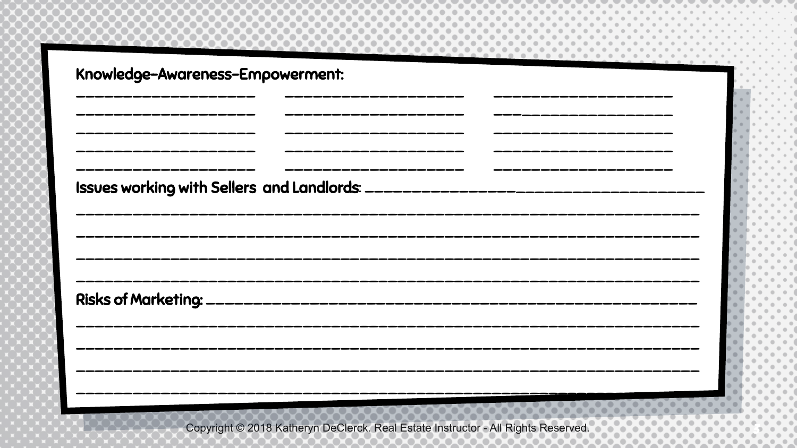| Knowledge-Awareness-Empowerment: |  |  |
|----------------------------------|--|--|
|                                  |  |  |
|                                  |  |  |
|                                  |  |  |
|                                  |  |  |
|                                  |  |  |
|                                  |  |  |